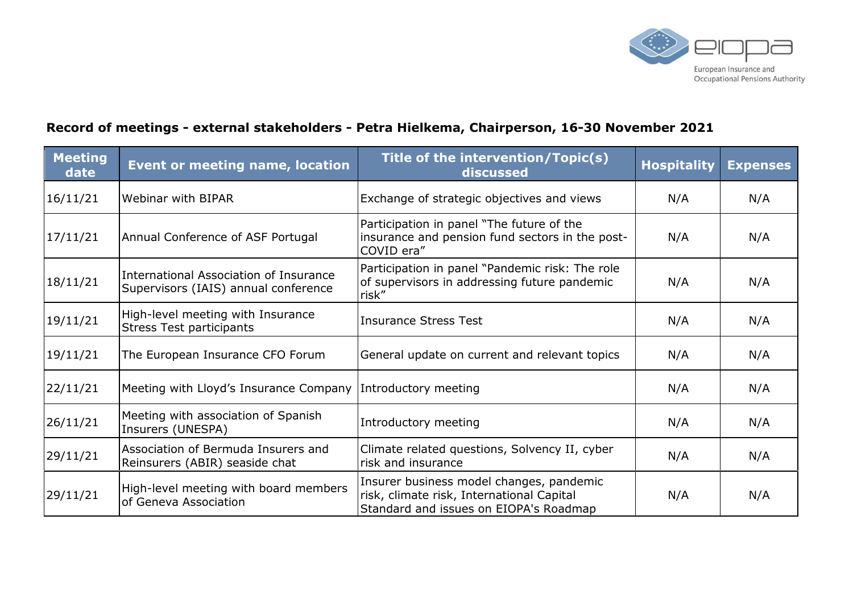

## **Record of meetings - external stakeholders - Petra Hielkema, Chairperson, 16-30 November 2021**

| <b>Meeting</b><br>date | <b>Event or meeting name, location</b>                                         | Title of the intervention/Topic(s)<br>discussed                                                                                 | <b>Hospitality</b> | <b>Expenses</b> |
|------------------------|--------------------------------------------------------------------------------|---------------------------------------------------------------------------------------------------------------------------------|--------------------|-----------------|
| 16/11/21               | Webinar with BIPAR                                                             | Exchange of strategic objectives and views                                                                                      | N/A                | N/A             |
| 17/11/21               | Annual Conference of ASF Portugal                                              | Participation in panel "The future of the<br>insurance and pension fund sectors in the post-<br>COVID era"                      | N/A                | N/A             |
| 18/11/21               | International Association of Insurance<br>Supervisors (IAIS) annual conference | Participation in panel "Pandemic risk: The role<br>of supervisors in addressing future pandemic<br>risk"                        | N/A                | N/A             |
| 19/11/21               | High-level meeting with Insurance<br><b>Stress Test participants</b>           | <b>Insurance Stress Test</b>                                                                                                    | N/A                | N/A             |
| 19/11/21               | The European Insurance CFO Forum                                               | General update on current and relevant topics                                                                                   | N/A                | N/A             |
| 22/11/21               | Meeting with Lloyd's Insurance Company                                         | Introductory meeting                                                                                                            | N/A                | N/A             |
| 26/11/21               | Meeting with association of Spanish<br>Insurers (UNESPA)                       | Introductory meeting                                                                                                            | N/A                | N/A             |
| 29/11/21               | Association of Bermuda Insurers and<br>Reinsurers (ABIR) seaside chat          | Climate related questions, Solvency II, cyber<br>risk and insurance                                                             | N/A                | N/A             |
| 29/11/21               | High-level meeting with board members<br>of Geneva Association                 | Insurer business model changes, pandemic<br>risk, climate risk, International Capital<br>Standard and issues on EIOPA's Roadmap | N/A                | N/A             |